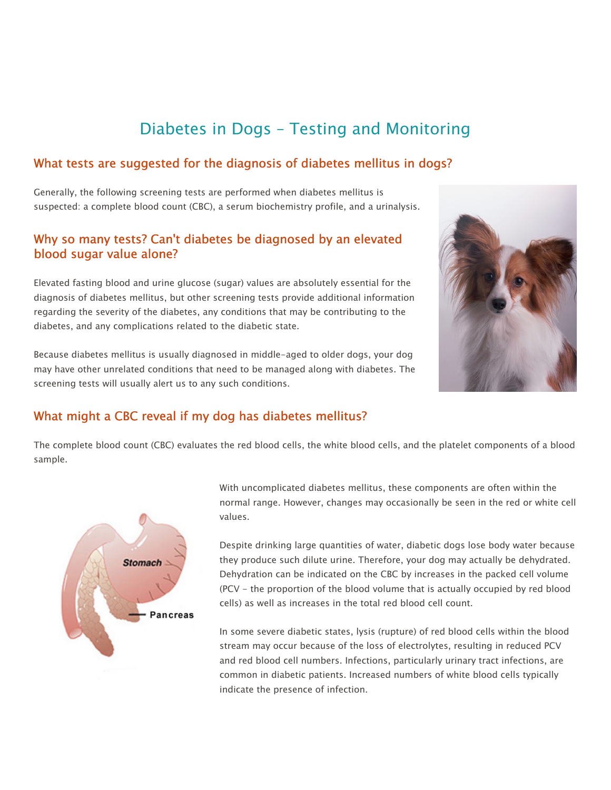# Diabetes in Dogs – Testing and Monitoring

## What tests are suggested for the diagnosis of diabetes mellitus in dogs?

Generally, the following screening tests are performed when diabetes mellitus is suspected: a complete blood count (CBC), a serum biochemistry profile, and a urinalysis.

## Why so many tests? Can't diabetes be diagnosed by an elevated blood sugar value alone?

Elevated fasting blood and urine glucose (sugar) values are absolutely essential for the diagnosis of diabetes mellitus, but other screening tests provide additional information regarding the severity of the diabetes, any conditions that may be contributing to the diabetes, and any complications related to the diabetic state.

Because diabetes mellitus is usually diagnosed in middle-aged to older dogs, your dog may have other unrelated conditions that need to be managed along with diabetes. The screening tests will usually alert us to any such conditions.



## What might a CBC reveal if my dog has diabetes mellitus?

The complete blood count (CBC) evaluates the red blood cells, the white blood cells, and the platelet components of a blood sample.



With uncomplicated diabetes mellitus, these components are often within the normal range. However, changes may occasionally be seen in the red or white cell values.

Despite drinking large quantities of water, diabetic dogs lose body water because they produce such dilute urine. Therefore, your dog may actually be dehydrated. Dehydration can be indicated on the CBC by increases in the packed cell volume (PCV - the proportion of the blood volume that is actually occupied by red blood cells) as well as increases in the total red blood cell count.

In some severe diabetic states, lysis (rupture) of red blood cells within the blood stream may occur because of the loss of electrolytes, resulting in reduced PCV and red blood cell numbers. Infections, particularly urinary tract infections, are common in diabetic patients. Increased numbers of white blood cells typically indicate the presence of infection.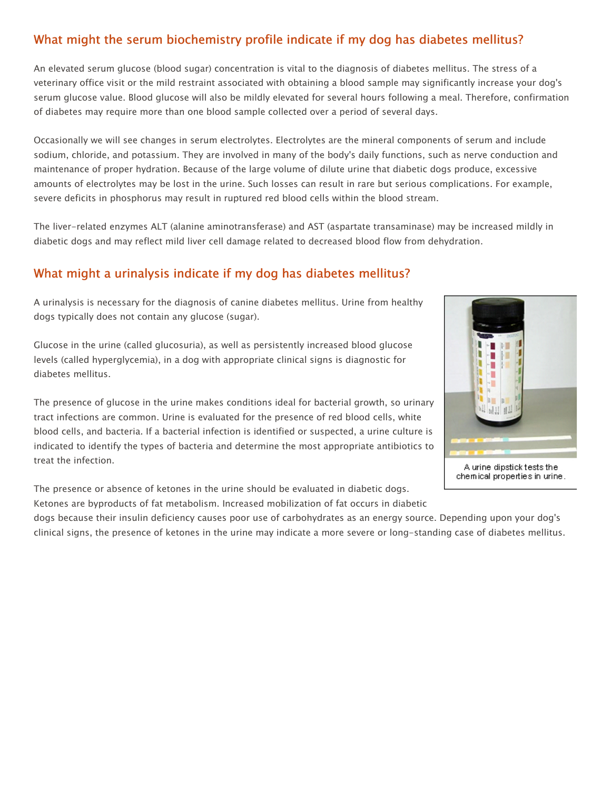## What might the serum biochemistry profile indicate if my dog has diabetes mellitus?

An elevated serum glucose (blood sugar) concentration is vital to the diagnosis of diabetes mellitus. The stress of a veterinary office visit or the mild restraint associated with obtaining a blood sample may significantly increase your dog's serum glucose value. Blood glucose will also be mildly elevated for several hours following a meal. Therefore, confirmation of diabetes may require more than one blood sample collected over a period of several days.

Occasionally we will see changes in serum electrolytes. Electrolytes are the mineral components of serum and include sodium, chloride, and potassium. They are involved in many of the body's daily functions, such as nerve conduction and maintenance of proper hydration. Because of the large volume of dilute urine that diabetic dogs produce, excessive amounts of electrolytes may be lost in the urine. Such losses can result in rare but serious complications. For example, severe deficits in phosphorus may result in ruptured red blood cells within the blood stream.

The liver-related enzymes ALT (alanine aminotransferase) and AST (aspartate transaminase) may be increased mildly in diabetic dogs and may reflect mild liver cell damage related to decreased blood flow from dehydration.

## What might a urinalysis indicate if my dog has diabetes mellitus?

A urinalysis is necessary for the diagnosis of canine diabetes mellitus. Urine from healthy dogs typically does not contain any glucose (sugar).

Glucose in the urine (called glucosuria), as well as persistently increased blood glucose levels (called hyperglycemia), in a dog with appropriate clinical signs is diagnostic for diabetes mellitus.



A urine dipstick tests the l chemical properties in urine.

The presence of glucose in the urine makes conditions ideal for bacterial growth, so urinary tract infections are common. Urine is evaluated for the presence of red blood cells, white blood cells, and bacteria. If a bacterial infection is identified or suspected, a urine culture is indicated to identify the types of bacteria and determine the most appropriate antibiotics to treat the infection.

The presence or absence of ketones in the urine should be evaluated in diabetic dogs. Ketones are byproducts of fat metabolism. Increased mobilization of fat occurs in diabetic

dogs because their insulin deficiency causes poor use of carbohydrates as an energy source. Depending upon your dog's clinical signs, the presence of ketones in the urine may indicate a more severe or long-standing case of diabetes mellitus.